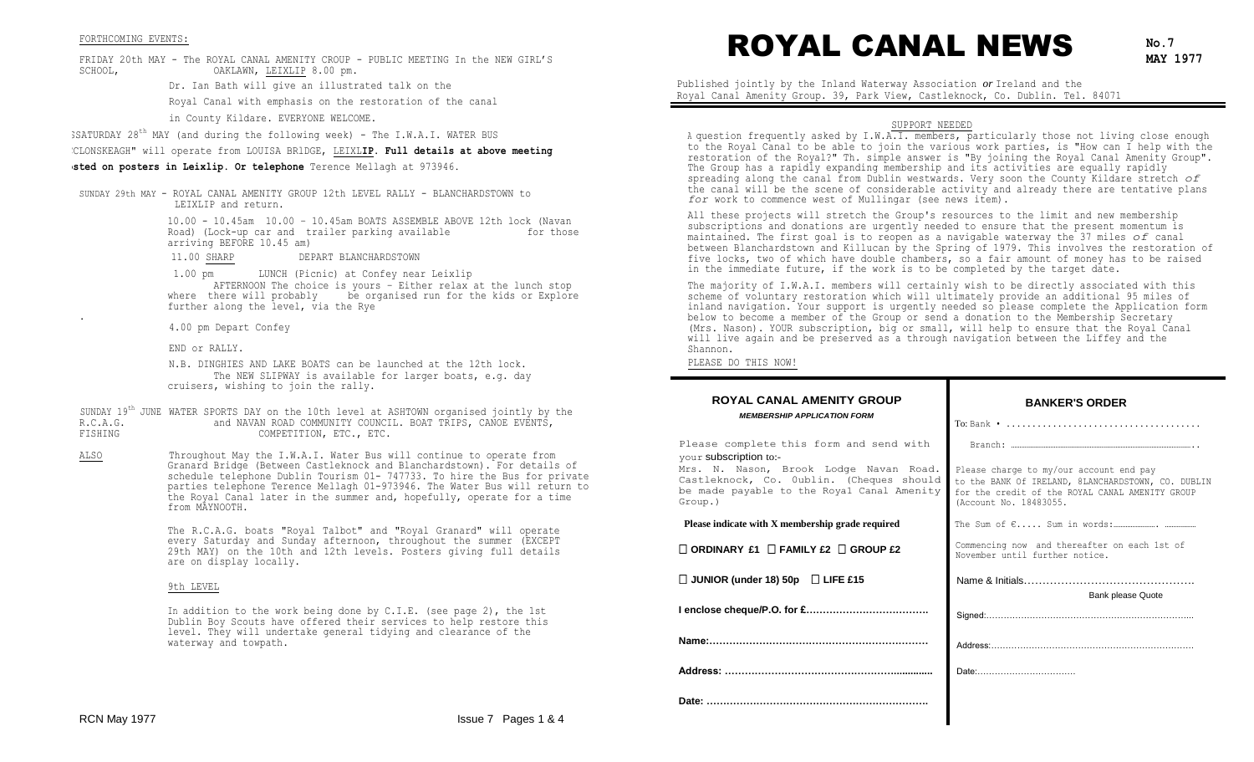#### FORTHCOMING EVENTS:

.

|         |  |  |  |                           |  |  | FRIDAY 20th MAY - The ROYAL CANAL AMENITY CROUP - PUBLIC MEETING In the NEW GIRL'S |  |  |  |
|---------|--|--|--|---------------------------|--|--|------------------------------------------------------------------------------------|--|--|--|
| SCHOOL, |  |  |  | OAKLAWN, LEIXLIP 8.00 pm. |  |  |                                                                                    |  |  |  |

Dr. Ian Bath will give an illustrated talk on the

Royal Canal with emphasis on the restoration of the canal

in County Kildare. EVERYONE WELCOME.

SSATURDAY 28<sup>th</sup> MAY (and during the following week) - The I.W.A.I. WATER BUS

"CCLONSKEAGH" will operate from LOUISA BRlDGE, LEIXL**IP. Full details at above meeting** 

## **posted on posters in Leixlip. Or telephone** Terence Mellagh at 973946.

SUNDAY 29th MAY - ROYAL CANAL AMENITY GROUP 12th LEVEL RALLY - BLANCHARDSTOWN to LEIXLIP and return.

> 10.00 - 10.45am 10.00 – 10.45am BOATS ASSEMBLE ABOVE 12th lock (Navan Road) (Lock-up car and trailer parking available for those arriving BEFORE 10.45 am)

11.00 SHARP DEPART BLANCHARDSTOWN

 1.00 pm LUNCH (Picnic) at Confey near Leixlip AFTERNOON The choice is yours - Either relax at the lunch stop<br>where there will probably be organised run for the kids or Explor be organised run for the kids or Explore further along the level,  $\bar{v}$ ia the Rye

4.00 pm Depart Confey

END or RALLY.

N.B. DINGHIES AND LAKE BOATS can be launched at the 12th lock. The NEW SLIPWAY is available for larger boats, e.g. day cruisers, wishing to join the rally.

SUNDAY 19<sup>th</sup> JUNE WATER SPORTS DAY on the 10th level at ASHTOWN organised jointly by the R.C.A.G. and NAVAN ROAD COMMUNITY COUNCIL. BOAT TRIPS, CANOE EVENTS, FISHING COMPETITION, ETC., ETC.

ALSO Throughout May the I.W.A.I. Water Bus will continue to operate from Granard Bridge (Between Castleknock and Blanchardstown). For details of schedule telephone Dublin Tourism 01- 747733. To hire the Bus for private parties telephone Terence Mellagh 01-973946. The Water Bus will return to the Royal Canal later in the summer and, hopefully, operate for a time from MAYNOOTH.

> The R.C.A.G. boats "Royal Talbot" and "Royal Granard" will operate every Saturday and Sunday afternoon, throughout the summer (EXCEPT 29th MAY) on the 10th and 12th levels. Posters giving full details are on display locally.

## 9th LEVEL

In addition to the work being done by C.I.E. (see page 2), the 1st Dublin Boy Scouts have offered their services to help restore this level. They will undertake general tidying and clearance of the waterway and towpath.

# ROYAL CANAL NEWS

**No.7 MAY 1977**

Published jointly by the Inland Waterway Association *or* Ireland and the Royal Canal Amenity Group. 39, Park View, Castleknock, Co. Dublin. Tel. 84071

## SUPPORT NEEDED

A question frequently asked by  $I.W.A.T.$  members, particularly those not living close enough to the Royal Canal to be able to join the various work parties, is "How can I help with the restoration of the Royal?" Th. simple answer is "By joining the Royal Canal Amenity Group". The Group has a rapidly expanding membership and its activities are equally rapidly spreading along the canal from Dublin westwards. Very soon the County Kildare stretch *of*  the canal will be the scene of considerable activity and already there are tentative plans for work to commence west of Mullingar (see news item).

All these projects will stretch the Group's resources to the limit and new membership subscriptions and donations are urgently needed to ensure that the present momentum is maintained. The first goal is to reopen as a navigable waterway the 37 miles *of* canal between Blanchardstown and Killucan by the Spring of 1979. This involves the restoration of five locks, two of which have double chambers, so a fair amount of money has to be raised in the immediate future, if the work is to be completed by the target date.

The majority of I.W.A.I. members will certainly wish to be directly associated with this scheme of voluntary restoration which will ultimately provide an additional 95 miles of inland navigation. Your support is urgently needed so please complete the Application form below to become a member of the Group or send a donation to the Membership Secretary (Mrs. Nason). YOUR subscription, big or small, will help to ensure that the Royal Canal will live again and be preserved as a through navigation between the Liffey and the Shannon.

PLEASE DO THIS NOW!

## **ROYAL CANAL AMENITY GROUP** *MEMBERSHIP APPLICATION FORM*

Please complete this form and send with your subscription to:-

Mrs. N. Nason, Brook Lodge Navan Road. Castleknock, Co. 0ublin. (Cheques should be made payable to the Roya1 Canal Amenity Group.)

**Please indicate with X membership grade required**

 $\Box$  **ORDINARY**  $\epsilon$ 1  $\Box$  **FAMILY**  $\epsilon$ 2  $\Box$  **GROUP**  $\epsilon$ 2

**JUNIOR (under 18) 50p LIFE £15**

**I enclose cheque/P.O. for £……………………………….**

**Name:…………………………………………………………**

**Address: ……………………………………………..............**

| Please charge to my/our account end pay<br>to the BANK Of IRELAND, 8LANCHARDSTOWN, CO. DUBLIN<br>for the credit of the ROYAL CANAL AMENITY GROUP<br>(Account No. 18483055. |
|----------------------------------------------------------------------------------------------------------------------------------------------------------------------------|
|                                                                                                                                                                            |
| Commencing now and thereafter on each 1st of<br>November until further notice.                                                                                             |
|                                                                                                                                                                            |
| <b>Bank please Quote</b>                                                                                                                                                   |
|                                                                                                                                                                            |
|                                                                                                                                                                            |
| Date:                                                                                                                                                                      |

**BANKER'S ORDER**  To: Bank •  $\dots\dots\dots\dots\dots\dots\dots\dots\dots\dots\dots\dots\dots\dots\dots\dots$